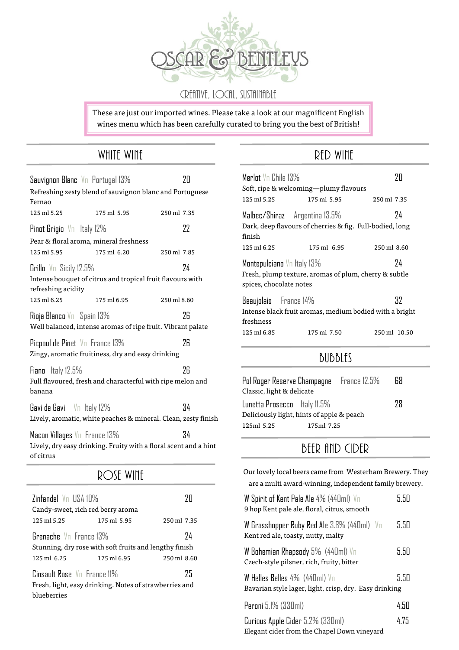

CREATIVE, LOCAL, SUSTAINABLE

These are just our imported wines. Please take a look at our magnificent English wines menu which has been carefully curated to bring you the best of British!

#### WHITE WINE

|                                           | Sauvignon Blanc Vn Portugal 13%                             | 20                                                                     |
|-------------------------------------------|-------------------------------------------------------------|------------------------------------------------------------------------|
| Fernao                                    | Refreshing zesty blend of sauvignon blanc and Portuguese    |                                                                        |
| 125 ml 5.25                               | 175 ml 5.95                                                 | 250 ml 7.35                                                            |
| Pinot Grigio Vn Italy 12%                 |                                                             | 22                                                                     |
|                                           | Pear & floral aroma, mineral freshness                      |                                                                        |
| 125 ml 5.95                               | 175 ml 6.20                                                 | 250 ml 7.85                                                            |
| Grillo Vn Sicily 12.5%                    | Intense bouquet of citrus and tropical fruit flavours with  | 74                                                                     |
| refreshing acidity                        |                                                             |                                                                        |
| 125 ml 6.25                               | 175 ml 6.95                                                 | 250 ml 8.60                                                            |
| Rioja Blanco Vn Spain 13%                 | Well balanced, intense aromas of ripe fruit. Vibrant palate | 26                                                                     |
| Picpoul de Pinet Vn France 13%            | Zingy, aromatic fruitiness, dry and easy drinking           | 26                                                                     |
| Fiano Italy 12.5%<br>banana               | Full flavoured, fresh and characterful with ripe melon and  | 26                                                                     |
| Gavi de Gavi $\sqrt{n}$ Italy 12%         |                                                             | 34<br>Lively, aromatic, white peaches & mineral. Clean, zesty finish   |
| Macon Villages Vn France 13%<br>of citrus |                                                             | 34<br>Lively, dry easy drinking. Fruity with a floral scent and a hint |
|                                           | ROSE WINE                                                   |                                                                        |
|                                           |                                                             |                                                                        |

| Zinfandel Vn IISA 10%                                                                  |             |             |
|----------------------------------------------------------------------------------------|-------------|-------------|
| Candy-sweet, rich red berry aroma                                                      |             |             |
| 125 ml 5.25                                                                            | 175 ml 5.95 | 250 ml 7.35 |
| Grenache Vn France 13%<br>74<br>Stunning, dry rose with soft fruits and lengthy finish |             |             |
| 125 ml 6.25                                                                            | 175 ml 6.95 | 250 ml 8.60 |
| Cinsault Rose Vn France 11%<br>25                                                      |             |             |
| Fresh, light, easy drinking. Notes of strawberries and                                 |             |             |
| blueberries                                                                            |             |             |

### RED WINE

| Merlot Vo Chile 13%                                   | Soft, ripe & welcoming—plumy flavours                                                     | 7Π                       |
|-------------------------------------------------------|-------------------------------------------------------------------------------------------|--------------------------|
| 125 ml 5.25                                           | 175 ml 5.95                                                                               | 250 ml 7.35              |
| finish                                                | Malbec/Shiraz Argentina 13.5%<br>Dark, deep flavours of cherries & fig. Full-bodied, long | 74                       |
| 125 ml 6.25                                           | 175 ml 6.95                                                                               | $250 \,\mathrm{ml}$ 8.60 |
| Montepulciano Vn Italy 13%<br>spices, chocolate notes | Fresh, plump texture, aromas of plum, cherry & subtle                                     | 74                       |
| Beaujolais France 14%<br>freshness                    | Intense black fruit aromas, medium bodied with a bright                                   | 37                       |
| 125 ml 6.85                                           | 175 ml 7.50                                                                               | 250 ml 10.50             |

#### Bubbles

| Pol Roger Reserve Champagne     France 12.5%<br>Classic, light & delicate |            | 68 |
|---------------------------------------------------------------------------|------------|----|
| Lunetta Prosecco ltaly 11.5%<br>Deliciously light, hints of apple & peach |            | 78 |
| 125ml 5.25                                                                | 175ml 7.25 |    |

# BEER AND CIDER

| Our lovely local beers came from Westerham Brewery. They                                            |      |
|-----------------------------------------------------------------------------------------------------|------|
| are a multi award-winning, independent family brewery.                                              |      |
| W Spirit of Kent Pale Ale 4% (440ml) Vn<br>9 hop Kent pale ale, floral, citrus, smooth              | 5.50 |
| W Grasshopper Ruby Red Ale $3.8\%$ (440ml) $\sqrt{ }$ n<br>Kent red ale, toasty, nutty, malty       | 5.50 |
| W Bohemian Rhapsody 5% (440ml) Vn<br>Czech-style pilsner, rich, fruity, bitter                      | 5.50 |
| W Helles Belles $4\%$ (440ml) $\sqrt{}$ n<br>Bavarian style lager, light, crisp, dry. Easy drinking | 5.50 |
| Peroni 5.1% (330ml)                                                                                 | 4.50 |
| Curious Apple Cider 5.2% (330ml)<br>Elegant cider from the Chapel Down vineyard                     | 4.75 |